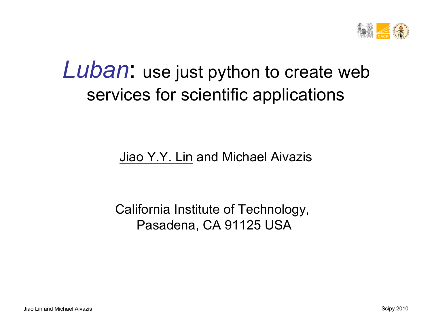

### *Luban*: use just python to create web services for scientific applications

#### Jiao Y.Y. Lin and Michael Aivazis

#### California Institute of Technology, Pasadena, CA 91125 USA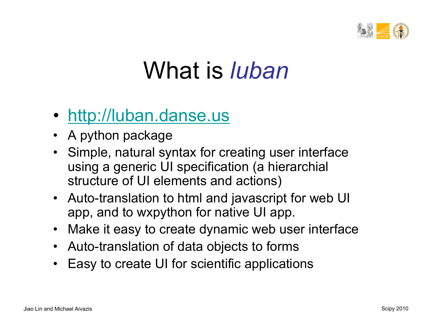

## What is *luban*

#### • http://luban.danse.us

- A python package
- Simple, natural syntax for creating user interface using a generic UI specification (a hierarchial structure of UI elements and actions)
- Auto-translation to html and javascript for web UI app, and to wxpython for native UI app.
- Make it easy to create dynamic web user interface
- Auto-translation of data objects to forms
- Easy to create UI for scientific applications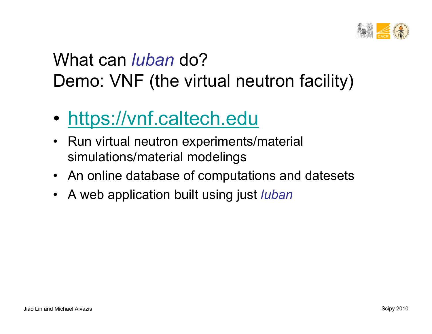

### What can *luban* do? Demo: VNF (the virtual neutron facility)

- https://vnf.caltech.edu
- Run virtual neutron experiments/material simulations/material modelings
- An online database of computations and datesets
- A web application built using just *luban*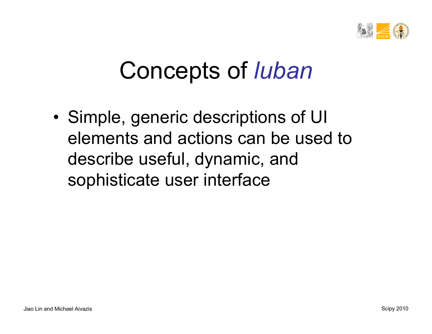

## Concepts of *luban*

• Simple, generic descriptions of UI elements and actions can be used to describe useful, dynamic, and sophisticate user interface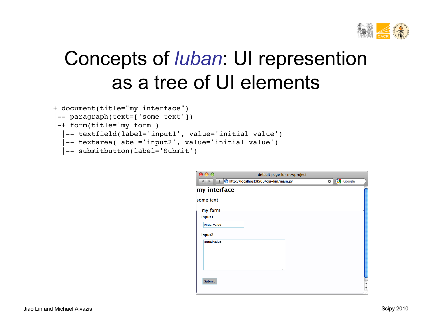

## Concepts of *luban*: UI represention as a tree of UI elements

```
+ document(title="my interface")
```

```
-- paragraph(text=['some text'])
```

```
|-+ form(title='my form')
```

```
 |-- textfield(label='input1', value='initial value')
```

```
 |-- textarea(label='input2', value='initial value')
```

```
 |-- submitbutton(label='Submit')
```

| $\bigcirc$    | default page for newproject           |                                               |
|---------------|---------------------------------------|-----------------------------------------------|
| ÷.            | http://localhost:8500/cgi-bin/main.py | $\mathcal{C}$ $\left\{ \cdot \right\}$ Google |
| my interface  |                                       |                                               |
| some text     |                                       |                                               |
| my form       |                                       |                                               |
| input1        |                                       |                                               |
| initial value |                                       |                                               |
| input2        |                                       |                                               |
| initial value |                                       |                                               |
|               |                                       |                                               |
|               |                                       |                                               |
|               |                                       |                                               |
|               |                                       |                                               |
| Submit        |                                       |                                               |
|               |                                       |                                               |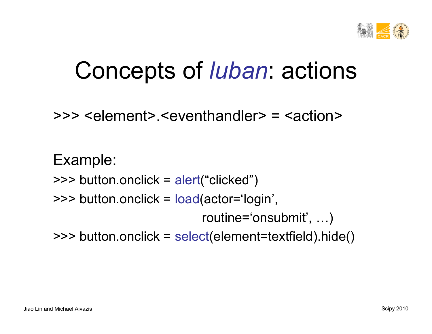

## Concepts of *luban*: actions

>>> <element>.<eventhandler> = <action>

Example: >>> button. onclick = alert("clicked") >>> button.onclick = load(actor='login', routine='onsubmit' , …)

>>> button. onclick = select(element=textfield).hide()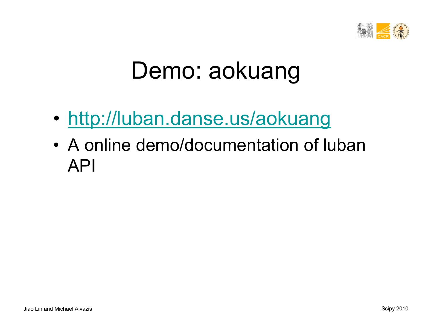

## Demo: aokuang

- http://luban.danse.us/aokuang
- A online demo/documentation of luban API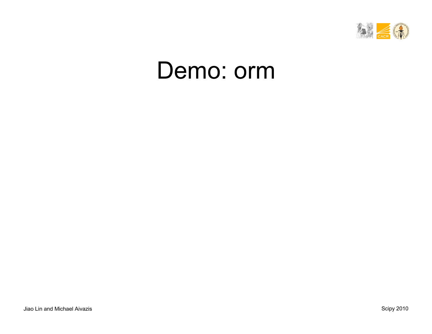

## Demo: orm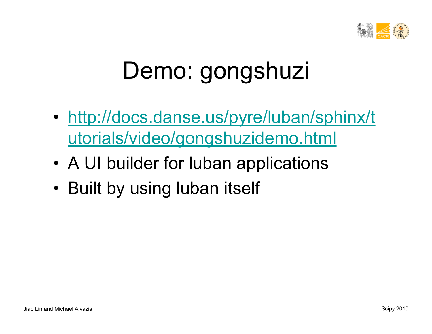

# Demo: gongshuzi

- http://docs.danse.us/pyre/luban/sphinx/t utorials/video/gongshuzidemo.html
- A UI builder for luban applications
- Built by using luban itself